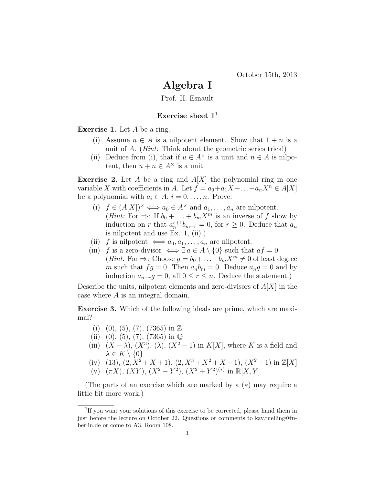## Algebra I

Prof. H. Esnault

## Exercise sheet  $1<sup>1</sup>$

Exercise 1. Let A be a ring.

- (i) Assume  $n \in A$  is a nilpotent element. Show that  $1 + n$  is a unit of A. (*Hint:* Think about the geometric series trick!)
- (ii) Deduce from (i), that if  $u \in A^{\times}$  is a unit and  $n \in A$  is nilpotent, then  $u + n \in A^{\times}$  is a unit.

**Exercise 2.** Let A be a ring and  $A[X]$  the polynomial ring in one variable X with coefficients in A. Let  $f = a_0 + a_1X + \ldots + a_nX^n \in A[X]$ be a polynomial with  $a_i \in A$ ,  $i = 0, \ldots, n$ . Prove:

- (i)  $f \in (A[X])^{\times} \Longleftrightarrow a_0 \in A^{\times}$  and  $a_1, \ldots, a_n$  are nilpotent. (*Hint*: For  $\Rightarrow$ : If  $b_0 + \ldots + b_m X^m$  is an inverse of f show by induction on r that  $a_n^{r+1}b_{m-r} = 0$ , for  $r \ge 0$ . Deduce that  $a_n$ is nilpotent and use Ex. 1, (ii).)
- (ii) f is nilpotent  $\iff a_0, a_1, \ldots, a_n$  are nilpotent.
- (iii) f is a zero-divisor  $\iff \exists a \in A \setminus \{0\}$  such that  $af = 0$ . (*Hint*: For  $\Rightarrow$ : Choose  $g = b_0 + \ldots + b_m X^m \neq 0$  of least degree m such that  $fg = 0$ . Then  $a_n b_m = 0$ . Deduce  $a_n g = 0$  and by induction  $a_{n-r}g = 0$ , all  $0 \le r \le n$ . Deduce the statement.)

Describe the units, nilpotent elements and zero-divisors of  $A[X]$  in the case where A is an integral domain.

Exercise 3. Which of the following ideals are prime, which are maximal?

- (i) (0), (5), (7), (7365) in  $\mathbb{Z}$
- (ii) (0), (5), (7), (7365) in  $\mathbb{Q}$
- (iii)  $(X \lambda)$ ,  $(X^3)$ ,  $(\lambda)$ ,  $(X^2 1)$  in  $K[X]$ , where K is a field and  $\lambda \in K \setminus \{0\}$
- (iv) (13),  $(2, X^2 + X + 1)$ ,  $(2, X^3 + X^2 + X + 1)$ ,  $(X^2 + 1)$  in  $\mathbb{Z}[X]$
- (v)  $(\pi X)$ ,  $(XY)$ ,  $(X^2 Y^2)$ ,  $(X^2 + Y^2)^{(*)}$  in  $\mathbb{R}[X, Y]$

(The parts of an exercise which are marked by a (∗) may require a little bit more work.)

<sup>&</sup>lt;sup>1</sup>If you want your solutions of this exercise to be corrected, please hand them in just before the lecture on October 22. Questions or comments to kay.ruelling@fuberlin.de or come to A3, Room 108.